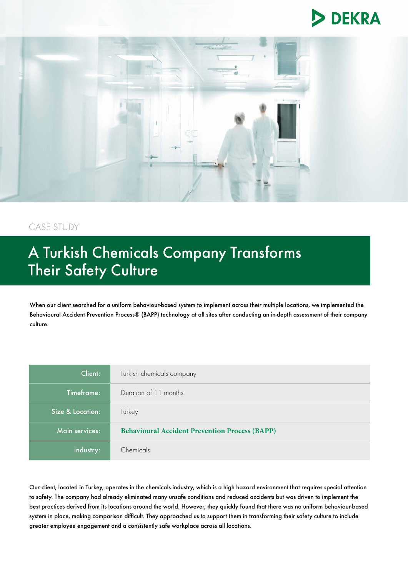



## CASE STUDY

# A Turkish Chemicals Company Transforms Their Safety Culture

When our client searched for a uniform behaviour-based system to implement across their multiple locations, we implemented the Behavioural Accident Prevention Process® (BAPP) technology at all sites after conducting an in-depth assessment of their company culture.

| Client:          | Turkish chemicals company                             |
|------------------|-------------------------------------------------------|
| Timeframe:       | Duration of 11 months                                 |
| Size & Location: | Turkey                                                |
| Main services:   | <b>Behavioural Accident Prevention Process (BAPP)</b> |
| Industry:        | Chemicals                                             |

Our client, located in Turkey, operates in the chemicals industry, which is a high hazard environment that requires special attention to safety. The company had already eliminated many unsafe conditions and reduced accidents but was driven to implement the best practices derived from its locations around the world. However, they quickly found that there was no uniform behaviour-based system in place, making comparison difficult. They approached us to support them in transforming their safety culture to include greater employee engagement and a consistently safe workplace across all locations.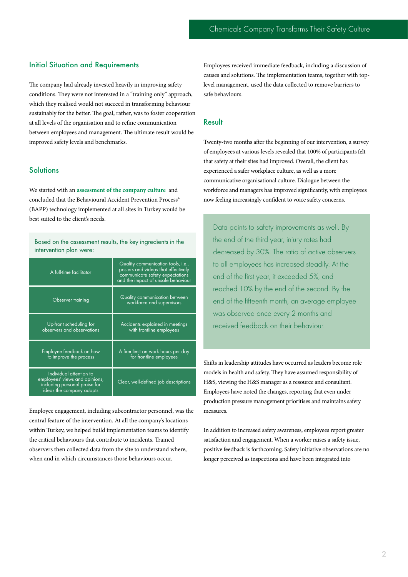#### Initial Situation and Requirements

The company had already invested heavily in improving safety conditions. They were not interested in a "training only" approach, which they realised would not succeed in transforming behaviour sustainably for the better. The goal, rather, was to foster cooperation at all levels of the organisation and to refine communication between employees and management. The ultimate result would be improved safety levels and benchmarks.

#### **Solutions**

We started with an **[assessment of the company culture](https://www.dekra.com/en/cultural-assessment-and-diagnostic/)** and concluded that the Behavioural Accident Prevention Process® (BAPP) technology implemented at all sites in Turkey would be best suited to the client's needs.

Based on the assessment results, the key ingredients in the intervention plan were:

| A full-time facilitator                                                                                                | Quality communication tools, i.e.,<br>posters and videos that effectively<br>communicate safety expectations<br>and the impact of unsafe behaviour |
|------------------------------------------------------------------------------------------------------------------------|----------------------------------------------------------------------------------------------------------------------------------------------------|
| Observer training                                                                                                      | Quality communication between<br>workforce and supervisors                                                                                         |
| Up-front scheduling for<br>observers and observations                                                                  | Accidents explained in meetings<br>with frontline employees                                                                                        |
| Employee feedback on how<br>to improve the process                                                                     | A firm limit on work hours per day<br>for frontline employees                                                                                      |
| Individual attention to<br>employees' views and opinions,<br>including personal praise for<br>ideas the company adopts | Clear, well-defined job descriptions                                                                                                               |

Employee engagement, including subcontractor personnel, was the central feature of the intervention. At all the company's locations within Turkey, we helped build implementation teams to identify the critical behaviours that contribute to incidents. Trained observers then collected data from the site to understand where, when and in which circumstances those behaviours occur.

Employees received immediate feedback, including a discussion of causes and solutions. The implementation teams, together with toplevel management, used the data collected to remove barriers to safe behaviours.

#### **Result**

Twenty-two months after the beginning of our intervention, a survey of employees at various levels revealed that 100% of participants felt that safety at their sites had improved. Overall, the client has experienced a safer workplace culture, as well as a more communicative organisational culture. Dialogue between the workforce and managers has improved significantly, with employees now feeling increasingly confident to voice safety concerns.

Data points to safety improvements as well. By the end of the third year, injury rates had decreased by 30%. The ratio of active observers to all employees has increased steadily. At the end of the first year, it exceeded 5%, and reached 10% by the end of the second. By the end of the fifteenth month, an average employee was observed once every 2 months and received feedback on their behaviour.

Shifts in leadership attitudes have occurred as leaders become role models in health and safety. They have assumed responsibility of H&S, viewing the H&S manager as a resource and consultant. Employees have noted the changes, reporting that even under production pressure management prioritises and maintains safety measures.

In addition to increased safety awareness, employees report greater satisfaction and engagement. When a worker raises a safety issue, positive feedback is forthcoming. Safety initiative observations are no longer perceived as inspections and have been integrated into